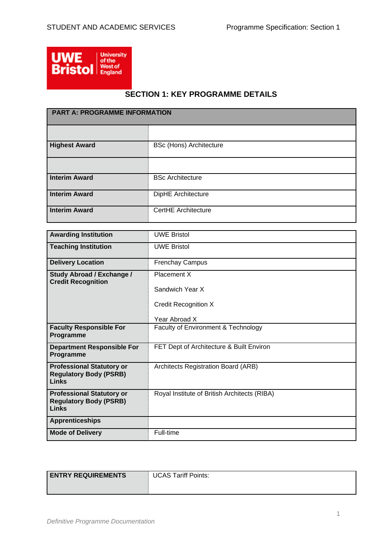

# **SECTION 1: KEY PROGRAMME DETAILS**

| <b>PART A: PROGRAMME INFORMATION</b> |                                |  |
|--------------------------------------|--------------------------------|--|
|                                      |                                |  |
| <b>Highest Award</b>                 | <b>BSc (Hons) Architecture</b> |  |
|                                      |                                |  |
| <b>Interim Award</b>                 | <b>BSc Architecture</b>        |  |
| <b>Interim Award</b>                 | DipHE Architecture             |  |
| <b>Interim Award</b>                 | <b>CertHE Architecture</b>     |  |

| <b>Awarding Institution</b>                                                | <b>UWE Bristol</b>                           |
|----------------------------------------------------------------------------|----------------------------------------------|
| <b>Teaching Institution</b>                                                | <b>UWE Bristol</b>                           |
| <b>Delivery Location</b>                                                   | <b>Frenchay Campus</b>                       |
| <b>Study Abroad / Exchange /</b><br><b>Credit Recognition</b>              | Placement X                                  |
|                                                                            | Sandwich Year X                              |
|                                                                            | <b>Credit Recognition X</b>                  |
|                                                                            | Year Abroad X                                |
| <b>Faculty Responsible For</b><br>Programme                                | Faculty of Environment & Technology          |
| <b>Department Responsible For</b><br>Programme                             | FET Dept of Architecture & Built Environ     |
| <b>Professional Statutory or</b><br><b>Regulatory Body (PSRB)</b><br>Links | Architects Registration Board (ARB)          |
| <b>Professional Statutory or</b><br><b>Regulatory Body (PSRB)</b><br>Links | Royal Institute of British Architects (RIBA) |
| <b>Apprenticeships</b>                                                     |                                              |
| <b>Mode of Delivery</b>                                                    | Full-time                                    |

| <b>ENTRY REQUIREMENTS</b> | <b>UCAS Tariff Points:</b> |
|---------------------------|----------------------------|
|                           |                            |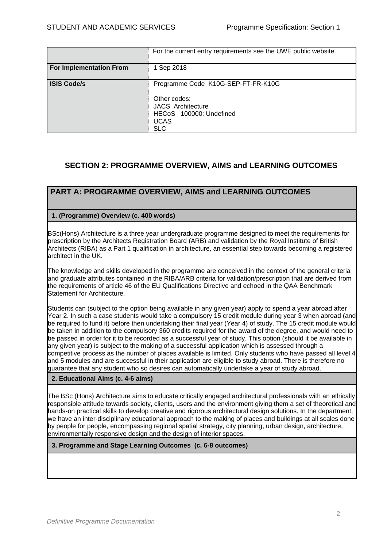|                         | For the current entry requirements see the UWE public website.                                                                         |
|-------------------------|----------------------------------------------------------------------------------------------------------------------------------------|
| For Implementation From | 1 Sep 2018                                                                                                                             |
| <b>ISIS Code/s</b>      | Programme Code K10G-SEP-FT-FR-K10G<br>Other codes:<br><b>JACS Architecture</b><br>HECoS 100000: Undefined<br><b>UCAS</b><br><b>SLC</b> |

# **SECTION 2: PROGRAMME OVERVIEW, AIMS and LEARNING OUTCOMES**

# **PART A: PROGRAMME OVERVIEW, AIMS and LEARNING OUTCOMES**

## **1. (Programme) Overview (c. 400 words)**

BSc(Hons) Architecture is a three year undergraduate programme designed to meet the requirements for prescription by the Architects Registration Board (ARB) and validation by the Royal Institute of British Architects (RIBA) as a Part 1 qualification in architecture, an essential step towards becoming a registered architect in the UK.

The knowledge and skills developed in the programme are conceived in the context of the general criteria and graduate attributes contained in the RIBA/ARB criteria for validation/prescription that are derived from the requirements of article 46 of the EU Qualifications Directive and echoed in the QAA Benchmark Statement for Architecture.

Students can (subject to the option being available in any given year) apply to spend a year abroad after Year 2. In such a case students would take a compulsory 15 credit module during year 3 when abroad (and be required to fund it) before then undertaking their final year (Year 4) of study. The 15 credit module would be taken in addition to the compulsory 360 credits required for the award of the degree, and would need to be passed in order for it to be recorded as a successful year of study. This option (should it be available in any given year) is subject to the making of a successful application which is assessed through a competitive process as the number of places available is limited. Only students who have passed all level 4 and 5 modules and are successful in their application are eligible to study abroad. There is therefore no guarantee that any student who so desires can automatically undertake a year of study abroad.

## **2. Educational Aims (c. 4-6 aims)**

The BSc (Hons) Architecture aims to educate critically engaged architectural professionals with an ethically responsible attitude towards society, clients, users and the environment giving them a set of theoretical and hands-on practical skills to develop creative and rigorous architectural design solutions. In the department, we have an inter-disciplinary educational approach to the making of places and buildings at all scales done by people for people, encompassing regional spatial strategy, city planning, urban design, architecture, environmentally responsive design and the design of interior spaces.

## **3. Programme and Stage Learning Outcomes (c. 6-8 outcomes)**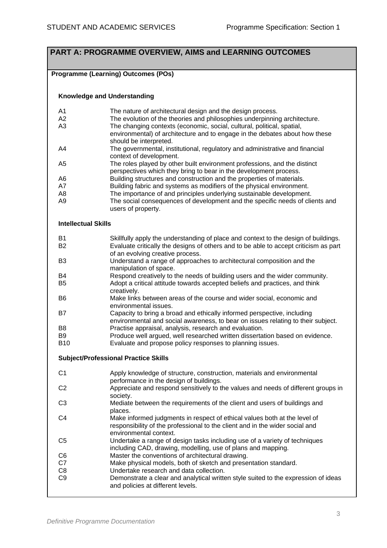# **PART A: PROGRAMME OVERVIEW, AIMS and LEARNING OUTCOMES**

## **Programme (Learning) Outcomes (POs)**

#### **Knowledge and Understanding**

| A <sub>1</sub>             | The nature of architectural design and the design process.                           |
|----------------------------|--------------------------------------------------------------------------------------|
| A2                         | The evolution of the theories and philosophies underpinning architecture.            |
| A3                         | The changing contexts (economic, social, cultural, political, spatial,               |
|                            | environmental) of architecture and to engage in the debates about how these          |
|                            | should be interpreted.                                                               |
| A4                         | The governmental, institutional, regulatory and administrative and financial         |
|                            | context of development.                                                              |
| A <sub>5</sub>             | The roles played by other built environment professions, and the distinct            |
|                            | perspectives which they bring to bear in the development process.                    |
| A <sub>6</sub>             | Building structures and construction and the properties of materials.                |
| A7                         | Building fabric and systems as modifiers of the physical environment.                |
| A <sub>8</sub>             | The importance of and principles underlying sustainable development.                 |
| A9                         | The social consequences of development and the specific needs of clients and         |
|                            | users of property.                                                                   |
|                            |                                                                                      |
| <b>Intellectual Skills</b> |                                                                                      |
| B <sub>1</sub>             | Skillfully apply the understanding of place and context to the design of buildings.  |
| <b>B2</b>                  | Evaluate critically the designs of others and to be able to accept criticism as part |
|                            | of an evolving creative process.                                                     |
| B <sub>3</sub>             | Understand a range of approaches to architectural composition and the                |
|                            | manipulation of space.                                                               |
| <b>B4</b>                  | Respond creatively to the needs of building users and the wider community.           |
| B <sub>5</sub>             | Adopt a critical attitude towards accepted beliefs and practices, and think          |
|                            | creatively.                                                                          |
| B <sub>6</sub>             | Make links between areas of the course and wider social, economic and                |
|                            | environmental issues.                                                                |
| <b>B7</b>                  | Capacity to bring a broad and ethically informed perspective, including              |
|                            | environmental and social awareness, to bear on issues relating to their subject.     |
| B <sub>8</sub>             | Practise appraisal, analysis, research and evaluation.                               |
|                            |                                                                                      |

- B9 Produce well argued, well researched written dissertation based on evidence.
- B10 Evaluate and propose policy responses to planning issues.

#### **Subject/Professional Practice Skills**

| C1             | Apply knowledge of structure, construction, materials and environmental<br>performance in the design of buildings. |
|----------------|--------------------------------------------------------------------------------------------------------------------|
|                |                                                                                                                    |
| C <sub>2</sub> | Appreciate and respond sensitively to the values and needs of different groups in                                  |
|                | society.                                                                                                           |
| C <sub>3</sub> | Mediate between the requirements of the client and users of buildings and                                          |
|                | places.                                                                                                            |
| C4             | Make informed judgments in respect of ethical values both at the level of                                          |
|                | responsibility of the professional to the client and in the wider social and                                       |
|                | environmental context.                                                                                             |
| C <sub>5</sub> | Undertake a range of design tasks including use of a variety of techniques                                         |
|                |                                                                                                                    |
|                | including CAD, drawing, modelling, use of plans and mapping.                                                       |
| C <sub>6</sub> | Master the conventions of architectural drawing.                                                                   |
| C7             | Make physical models, both of sketch and presentation standard.                                                    |
| C <sub>8</sub> | Undertake research and data collection.                                                                            |
| C <sub>9</sub> | Demonstrate a clear and analytical written style suited to the expression of ideas                                 |
|                |                                                                                                                    |
|                | and policies at different levels.                                                                                  |
|                |                                                                                                                    |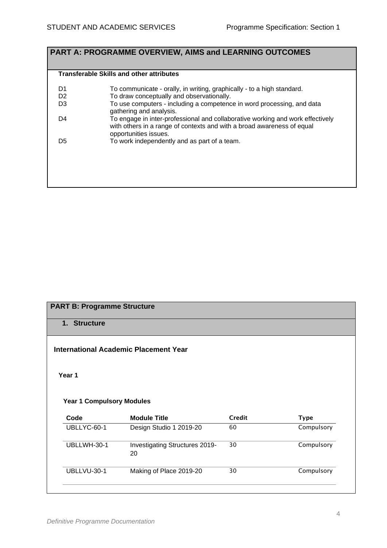# **PART A: PROGRAMME OVERVIEW, AIMS and LEARNING OUTCOMES**

#### **Transferable Skills and other attributes**

| D1<br>D <sub>2</sub> | To communicate - orally, in writing, graphically - to a high standard.<br>To draw conceptually and observationally.                                                               |
|----------------------|-----------------------------------------------------------------------------------------------------------------------------------------------------------------------------------|
| D <sub>3</sub>       | To use computers - including a competence in word processing, and data<br>gathering and analysis.                                                                                 |
| D4                   | To engage in inter-professional and collaborative working and work effectively<br>with others in a range of contexts and with a broad awareness of equal<br>opportunities issues. |
| D5                   | To work independently and as part of a team.                                                                                                                                      |
|                      |                                                                                                                                                                                   |
|                      |                                                                                                                                                                                   |

| 1. Structure                     | <b>PART B: Programme Structure</b>             |                     |                           |
|----------------------------------|------------------------------------------------|---------------------|---------------------------|
|                                  |                                                |                     |                           |
|                                  | <b>International Academic Placement Year</b>   |                     |                           |
|                                  |                                                |                     |                           |
| Year 1                           |                                                |                     |                           |
|                                  |                                                |                     |                           |
|                                  |                                                |                     |                           |
| <b>Year 1 Compulsory Modules</b> |                                                |                     |                           |
|                                  |                                                |                     |                           |
| Code<br>UBLLYC-60-1              | <b>Module Title</b><br>Design Studio 1 2019-20 | <b>Credit</b><br>60 | <b>Type</b><br>Compulsory |
|                                  |                                                |                     |                           |
| UBLLWH-30-1                      | Investigating Structures 2019-<br>20           | 30                  | Compulsory                |
| UBLLVU-30-1                      | Making of Place 2019-20                        | 30                  | Compulsory                |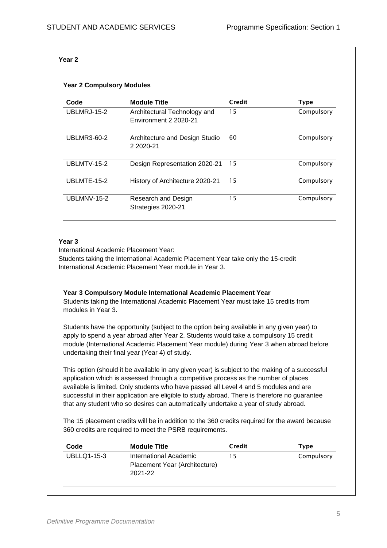#### **Year 2**

#### **Year 2 Compulsory Modules**

| Code               | <b>Module Title</b>                                   | Credit | <b>Type</b> |
|--------------------|-------------------------------------------------------|--------|-------------|
| <b>UBLMRJ-15-2</b> | Architectural Technology and<br>Environment 2 2020-21 | 15     | Compulsory  |
| <b>UBLMR3-60-2</b> | Architecture and Design Studio<br>2 2020-21           | 60     | Compulsory  |
| UBLMTV-15-2        | Design Representation 2020-21                         | 15     | Compulsory  |
| UBLMTE-15-2        | History of Architecture 2020-21                       | 15     | Compulsory  |
| UBLMNV-15-2        | Research and Design<br>Strategies 2020-21             | 15     | Compulsory  |

#### **Year 3**

International Academic Placement Year:

Students taking the International Academic Placement Year take only the 15-credit International Academic Placement Year module in Year 3.

#### **Year 3 Compulsory Module International Academic Placement Year** Students taking the International Academic Placement Year must take 15 credits from

modules in Year 3.

Students have the opportunity (subject to the option being available in any given year) to apply to spend a year abroad after Year 2. Students would take a compulsory 15 credit module (International Academic Placement Year module) during Year 3 when abroad before undertaking their final year (Year 4) of study.

This option (should it be available in any given year) is subject to the making of a successful application which is assessed through a competitive process as the number of places available is limited. Only students who have passed all Level 4 and 5 modules and are successful in their application are eligible to study abroad. There is therefore no guarantee that any student who so desires can automatically undertake a year of study abroad.

The 15 placement credits will be in addition to the 360 credits required for the award because 360 credits are required to meet the PSRB requirements.

| Code               | <b>Module Title</b>                                                | Credit | Type       |
|--------------------|--------------------------------------------------------------------|--------|------------|
| <b>UBLLQ1-15-3</b> | International Academic<br>Placement Year (Architecture)<br>2021-22 | 15     | Compulsory |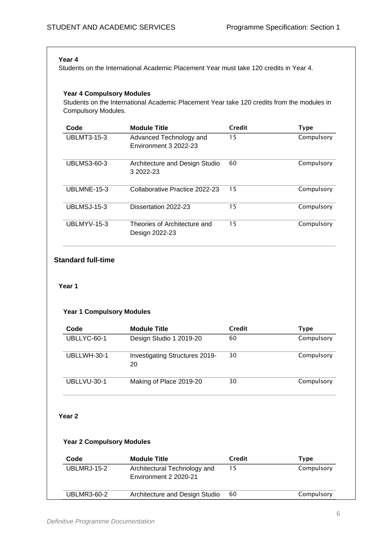#### **Year 4**

Students on the International Academic Placement Year must take 120 credits in Year 4.

#### **Year 4 Compulsory Modules**

Students on the International Academic Placement Year take 120 credits from the modules in Compulsory Modules.

| Code               | <b>Module Title</b>                              | Credit | <b>Type</b> |
|--------------------|--------------------------------------------------|--------|-------------|
| <b>UBLMT3-15-3</b> | Advanced Technology and<br>Environment 3 2022-23 | 15     | Compulsory  |
| <b>UBLMS3-60-3</b> | Architecture and Design Studio<br>3 2022-23      | 60     | Compulsory  |
| UBLMNE-15-3        | Collaborative Practice 2022-23                   | 15     | Compulsory  |
| UBLMSJ-15-3        | Dissertation 2022-23                             | 15     | Compulsory  |
| UBLMYV-15-3        | Theories of Architecture and<br>Design 2022-23   | 15     | Compulsory  |

## **Standard full-time**

#### **Year 1**

## **Year 1 Compulsory Modules**

| Code        | <b>Module Title</b>                  | Credit | Type       |
|-------------|--------------------------------------|--------|------------|
| UBLLYC-60-1 | Design Studio 1 2019-20              | 60     | Compulsory |
| UBLLWH-30-1 | Investigating Structures 2019-<br>20 | 30     | Compulsory |
| UBLLVU-30-1 | Making of Place 2019-20              | 30     | Compulsory |

#### **Year 2**

#### **Year 2 Compulsory Modules**

| Code        | <b>Module Title</b>                                   | Credit | Type       |
|-------------|-------------------------------------------------------|--------|------------|
| UBLMRJ-15-2 | Architectural Technology and<br>Environment 2 2020-21 | 15     | Compulsory |
| UBLMR3-60-2 | Architecture and Design Studio                        | 60     | Compulsory |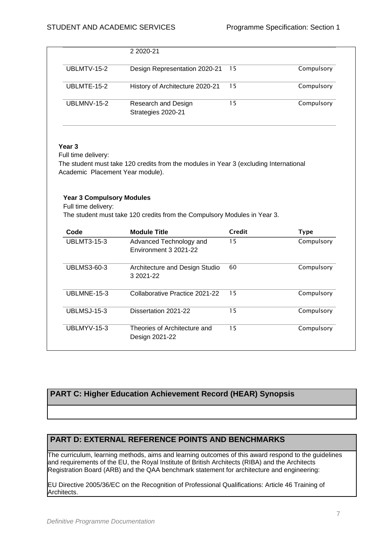|             | 2 2020-21                                 |     |            |
|-------------|-------------------------------------------|-----|------------|
| UBLMTV-15-2 | Design Representation 2020-21             | -15 | Compulsory |
| UBLMTE-15-2 | History of Architecture 2020-21           | 15  | Compulsory |
| UBLMNV-15-2 | Research and Design<br>Strategies 2020-21 | 15  | Compulsory |

#### **Year 3**

Full time delivery:

The student must take 120 credits from the modules in Year 3 (excluding International Academic Placement Year module).

#### **Year 3 Compulsory Modules**

Full time delivery:

The student must take 120 credits from the Compulsory Modules in Year 3.

| Code               | <b>Module Title</b>                              | Credit | <b>Type</b> |
|--------------------|--------------------------------------------------|--------|-------------|
| <b>UBLMT3-15-3</b> | Advanced Technology and<br>Environment 3 2021-22 | 15     | Compulsory  |
| <b>UBLMS3-60-3</b> | Architecture and Design Studio<br>3 2021-22      | 60     | Compulsory  |
| UBLMNE-15-3        | Collaborative Practice 2021-22                   | 15     | Compulsory  |
| UBLMSJ-15-3        | Dissertation 2021-22                             | 15     | Compulsory  |
| UBLMYV-15-3        | Theories of Architecture and<br>Design 2021-22   | 15     | Compulsory  |

## **PART C: Higher Education Achievement Record (HEAR) Synopsis**

## **PART D: EXTERNAL REFERENCE POINTS AND BENCHMARKS**

The curriculum, learning methods, aims and learning outcomes of this award respond to the guidelines and requirements of the EU, the Royal Institute of British Architects (RIBA) and the Architects Registration Board (ARB) and the QAA benchmark statement for architecture and engineering:

EU Directive 2005/36/EC on the Recognition of Professional Qualifications: Article 46 Training of Architects.